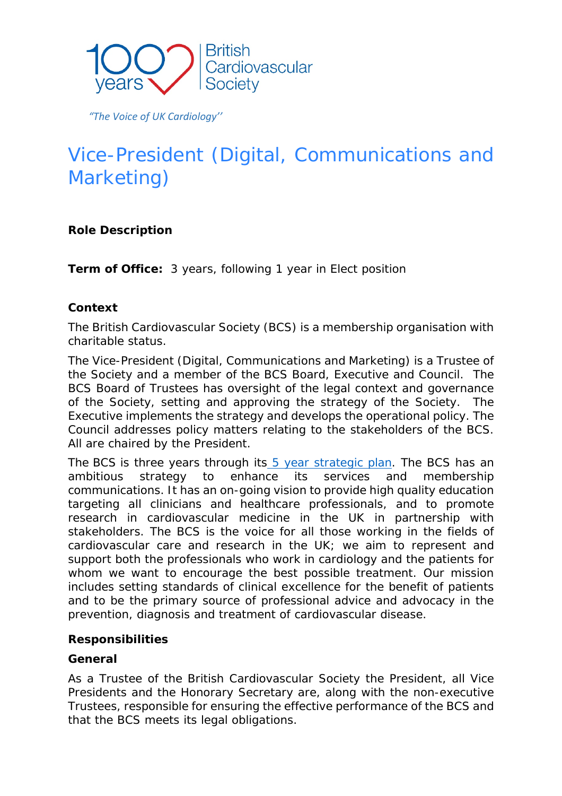

 *"The Voice of UK Cardiology''*

# Vice-President (Digital, Communications and Marketing)

# **Role Description**

**Term of Office:** 3 years, following 1 year in Elect position

# **Context**

The British Cardiovascular Society (BCS) is a membership organisation with charitable status.

The Vice-President (Digital, Communications and Marketing) is a Trustee of the Society and a member of the BCS Board, Executive and Council. The BCS Board of Trustees has oversight of the legal context and governance of the Society, setting and approving the strategy of the Society. The Executive implements the strategy and develops the operational policy. The Council addresses policy matters relating to the stakeholders of the BCS. All are chaired by the President.

The BCS is three years through its [5 year strategic plan.](https://www.britishcardiovascularsociety.org/__data/assets/pdf_file/0010/42031/BCS-Strategy-2020-2024.pdf) The BCS has an ambitious strategy to enhance its services and membership communications. It has an on-going vision to provide high quality education targeting all clinicians and healthcare professionals, and to promote research in cardiovascular medicine in the UK in partnership with stakeholders. The BCS is the voice for all those working in the fields of cardiovascular care and research in the UK; we aim to represent and support both the professionals who work in cardiology and the patients for whom we want to encourage the best possible treatment. Our mission includes setting standards of clinical excellence for the benefit of patients and to be the primary source of professional advice and advocacy in the prevention, diagnosis and treatment of cardiovascular disease.

#### **Responsibilities**

#### *General*

As a Trustee of the British Cardiovascular Society the President, all Vice Presidents and the Honorary Secretary are, along with the non-executive Trustees, responsible for ensuring the effective performance of the BCS and that the BCS meets its legal obligations.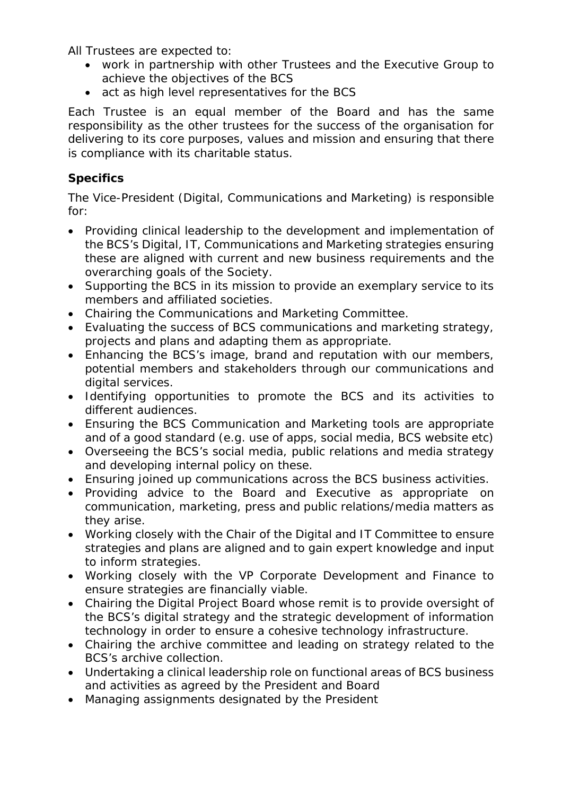All Trustees are expected to:

- work in partnership with other Trustees and the Executive Group to achieve the objectives of the BCS
- act as high level representatives for the BCS

Each Trustee is an equal member of the Board and has the same responsibility as the other trustees for the success of the organisation for delivering to its core purposes, values and mission and ensuring that there is compliance with its charitable status.

# *Specifics*

The Vice-President (Digital, Communications and Marketing) is responsible for:

- Providing clinical leadership to the development and implementation of the BCS's Digital, IT, Communications and Marketing strategies ensuring these are aligned with current and new business requirements and the overarching goals of the Society.
- Supporting the BCS in its mission to provide an exemplary service to its members and affiliated societies.
- Chairing the Communications and Marketing Committee.
- Evaluating the success of BCS communications and marketing strategy, projects and plans and adapting them as appropriate.
- Enhancing the BCS's image, brand and reputation with our members, potential members and stakeholders through our communications and digital services.
- Identifying opportunities to promote the BCS and its activities to different audiences.
- Ensuring the BCS Communication and Marketing tools are appropriate and of a good standard (e.g. use of apps, social media, BCS website etc)
- Overseeing the BCS's social media, public relations and media strategy and developing internal policy on these.
- Ensuring joined up communications across the BCS business activities.
- Providing advice to the Board and Executive as appropriate on communication, marketing, press and public relations/media matters as they arise.
- Working closely with the Chair of the Digital and IT Committee to ensure strategies and plans are aligned and to gain expert knowledge and input to inform strategies.
- Working closely with the VP Corporate Development and Finance to ensure strategies are financially viable.
- Chairing the Digital Project Board whose remit is to provide oversight of the BCS's digital strategy and the strategic development of information technology in order to ensure a cohesive technology infrastructure.
- Chairing the archive committee and leading on strategy related to the BCS's archive collection.
- Undertaking a clinical leadership role on functional areas of BCS business and activities as agreed by the President and Board
- Managing assignments designated by the President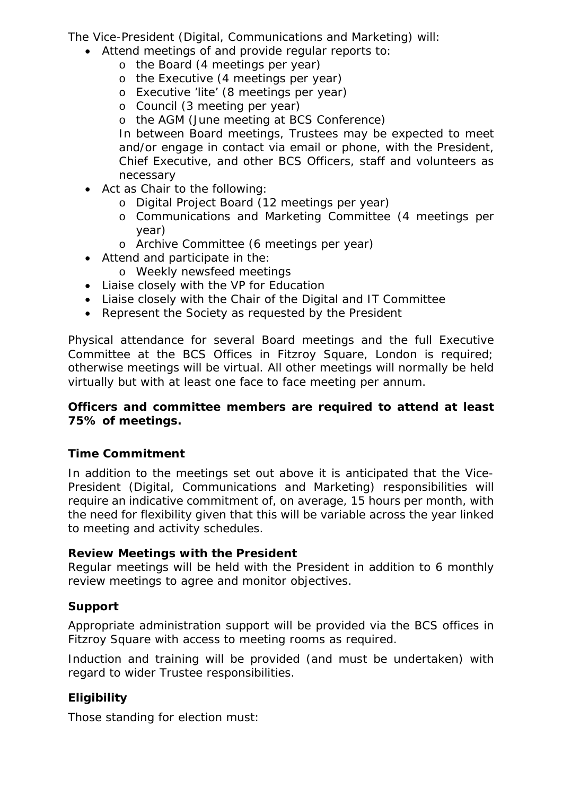The Vice-President (Digital, Communications and Marketing) will:

- Attend meetings of and provide regular reports to:
	- o the Board (4 meetings per year)
	- o the Executive (4 meetings per year)
	- o Executive 'lite' (8 meetings per year)
	- o Council (3 meeting per year)
	- o the AGM (June meeting at BCS Conference)

In between Board meetings, Trustees may be expected to meet and/or engage in contact via email or phone, with the President, Chief Executive, and other BCS Officers, staff and volunteers as necessary

- Act as Chair to the following:
	- o Digital Project Board (12 meetings per year)
	- o Communications and Marketing Committee (4 meetings per year)
	- o Archive Committee (6 meetings per year)
- Attend and participate in the:
	- o Weekly newsfeed meetings
- Liaise closely with the VP for Education
- Liaise closely with the Chair of the Digital and IT Committee
- Represent the Society as requested by the President

Physical attendance for several Board meetings and the full Executive Committee at the BCS Offices in Fitzroy Square, London is required; otherwise meetings will be virtual. All other meetings will normally be held virtually but with at least one face to face meeting per annum.

#### *Officers and committee members are required to attend at least 75% of meetings.*

# *Time Commitment*

In addition to the meetings set out above it is anticipated that the Vice-President (Digital, Communications and Marketing) responsibilities will require an indicative commitment of, on average, 15 hours per month, with the need for flexibility given that this will be variable across the year linked to meeting and activity schedules.

#### *Review Meetings with the President*

Regular meetings will be held with the President in addition to 6 monthly review meetings to agree and monitor objectives.

# *Support*

Appropriate administration support will be provided via the BCS offices in Fitzroy Square with access to meeting rooms as required.

Induction and training will be provided (and must be undertaken) with regard to wider Trustee responsibilities.

# *Eligibility*

Those standing for election must: